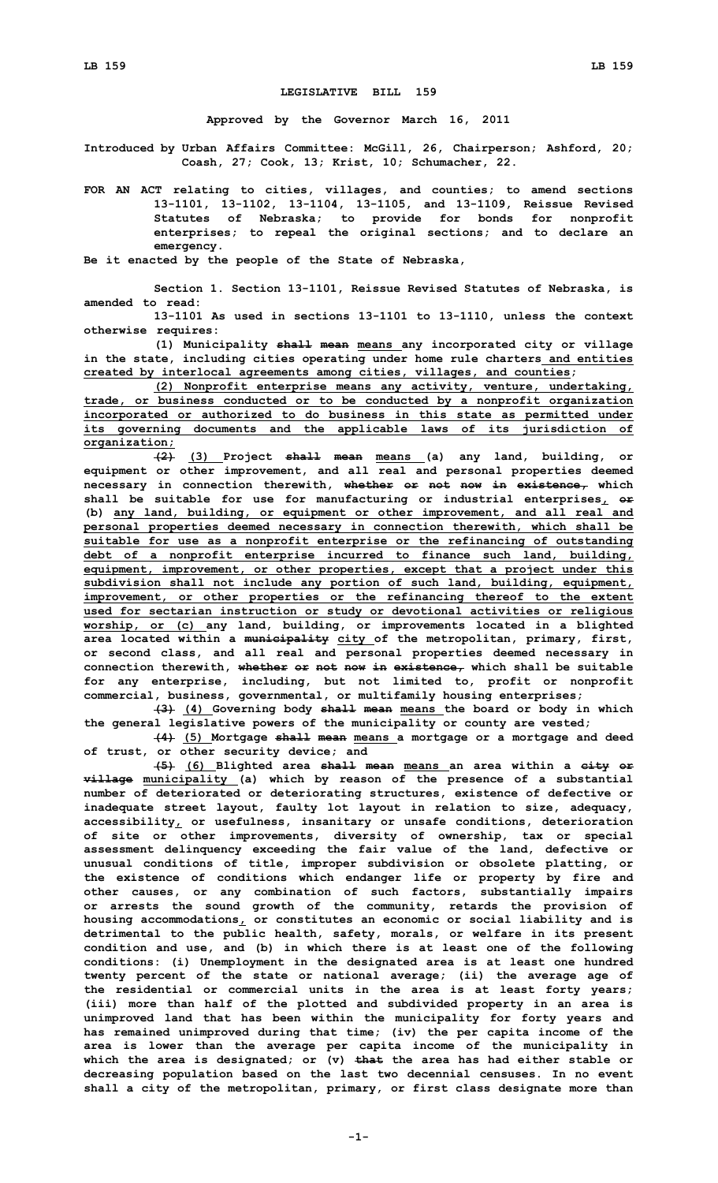## **LEGISLATIVE BILL 159**

**Approved by the Governor March 16, 2011**

**Introduced by Urban Affairs Committee: McGill, 26, Chairperson; Ashford, 20; Coash, 27; Cook, 13; Krist, 10; Schumacher, 22.**

**FOR AN ACT relating to cities, villages, and counties; to amend sections 13-1101, 13-1102, 13-1104, 13-1105, and 13-1109, Reissue Revised Statutes of Nebraska; to provide for bonds for nonprofit enterprises; to repeal the original sections; and to declare an emergency.**

**Be it enacted by the people of the State of Nebraska,**

**Section 1. Section 13-1101, Reissue Revised Statutes of Nebraska, is amended to read:**

**13-1101 As used in sections 13-1101 to 13-1110, unless the context otherwise requires:**

**(1) Municipality shall mean means any incorporated city or village in the state, including cities operating under home rule charters and entities created by interlocal agreements among cities, villages, and counties;**

**(2) Nonprofit enterprise means any activity, venture, undertaking, trade, or business conducted or to be conducted by <sup>a</sup> nonprofit organization incorporated or authorized to do business in this state as permitted under its governing documents and the applicable laws of its jurisdiction of organization;**

**(2) (3) Project shall mean means (a) any land, building, or equipment or other improvement, and all real and personal properties deemed necessary in connection therewith, whether or not now in existence, which shall be suitable for use for manufacturing or industrial enterprises, or (b) any land, building, or equipment or other improvement, and all real and personal properties deemed necessary in connection therewith, which shall be suitable for use as <sup>a</sup> nonprofit enterprise or the refinancing of outstanding debt of <sup>a</sup> nonprofit enterprise incurred to finance such land, building, equipment, improvement, or other properties, except that <sup>a</sup> project under this subdivision shall not include any portion of such land, building, equipment, improvement, or other properties or the refinancing thereof to the extent used for sectarian instruction or study or devotional activities or religious worship, or (c) any land, building, or improvements located in <sup>a</sup> blighted area located within <sup>a</sup> municipality city of the metropolitan, primary, first, or second class, and all real and personal properties deemed necessary in connection therewith, whether or not now in existence, which shall be suitable for any enterprise, including, but not limited to, profit or nonprofit commercial, business, governmental, or multifamily housing enterprises;**

**(3) (4) Governing body shall mean means the board or body in which the general legislative powers of the municipality or county are vested;**

**(4) (5) Mortgage shall mean means <sup>a</sup> mortgage or <sup>a</sup> mortgage and deed of trust, or other security device; and**

**(5) (6) Blighted area shall mean means an area within <sup>a</sup> city or village municipality (a) which by reason of the presence of <sup>a</sup> substantial number of deteriorated or deteriorating structures, existence of defective or inadequate street layout, faulty lot layout in relation to size, adequacy, accessibility, or usefulness, insanitary or unsafe conditions, deterioration of site or other improvements, diversity of ownership, tax or special assessment delinquency exceeding the fair value of the land, defective or unusual conditions of title, improper subdivision or obsolete platting, or the existence of conditions which endanger life or property by fire and other causes, or any combination of such factors, substantially impairs or arrests the sound growth of the community, retards the provision of housing accommodations, or constitutes an economic or social liability and is detrimental to the public health, safety, morals, or welfare in its present condition and use, and (b) in which there is at least one of the following conditions: (i) Unemployment in the designated area is at least one hundred twenty percent of the state or national average; (ii) the average age of the residential or commercial units in the area is at least forty years; (iii) more than half of the plotted and subdivided property in an area is unimproved land that has been within the municipality for forty years and has remained unimproved during that time; (iv) the per capita income of the area is lower than the average per capita income of the municipality in which the area is designated; or (v) that the area has had either stable or decreasing population based on the last two decennial censuses. In no event shall <sup>a</sup> city of the metropolitan, primary, or first class designate more than**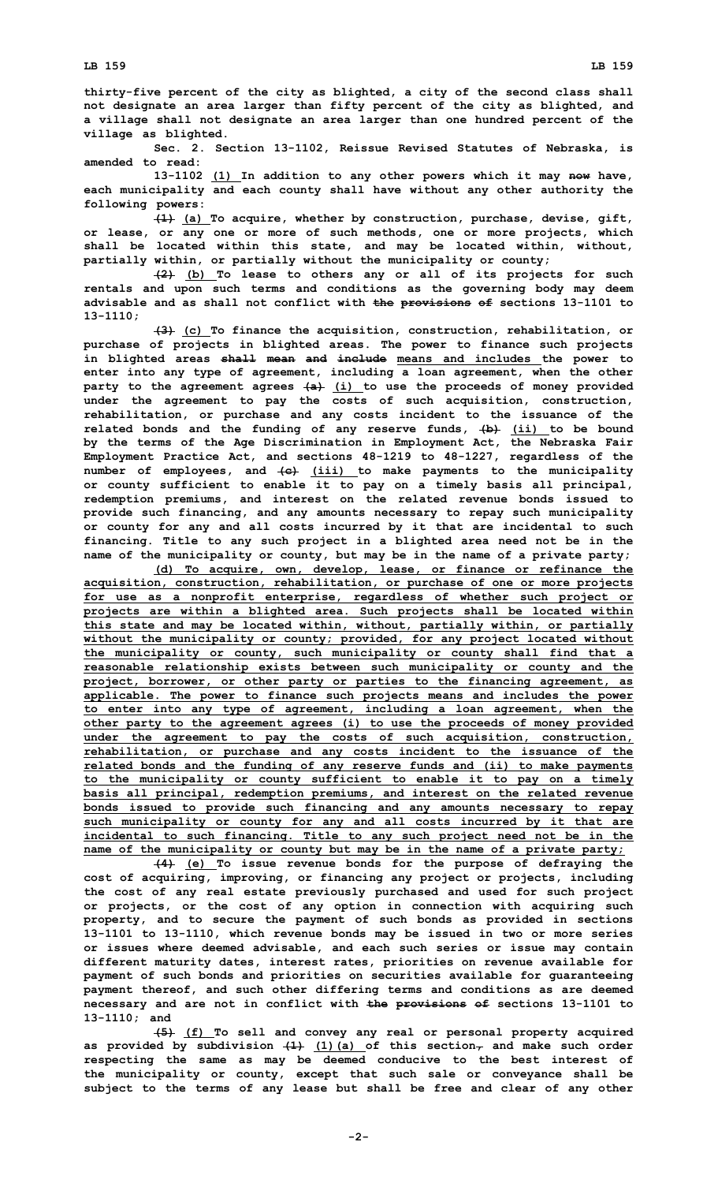**thirty-five percent of the city as blighted, <sup>a</sup> city of the second class shall not designate an area larger than fifty percent of the city as blighted, and <sup>a</sup> village shall not designate an area larger than one hundred percent of the village as blighted.**

**Sec. 2. Section 13-1102, Reissue Revised Statutes of Nebraska, is amended to read:**

**13-1102 (1) In addition to any other powers which it may now have, each municipality and each county shall have without any other authority the following powers:**

**(1) (a) To acquire, whether by construction, purchase, devise, gift, or lease, or any one or more of such methods, one or more projects, which shall be located within this state, and may be located within, without, partially within, or partially without the municipality or county;**

**(2) (b) To lease to others any or all of its projects for such rentals and upon such terms and conditions as the governing body may deem advisable and as shall not conflict with the provisions of sections 13-1101 to 13-1110;**

**(3) (c) To finance the acquisition, construction, rehabilitation, or purchase of projects in blighted areas. The power to finance such projects in blighted areas shall mean and include means and includes the power to enter into any type of agreement, including <sup>a</sup> loan agreement, when the other party to the agreement agrees (a) (i) to use the proceeds of money provided under the agreement to pay the costs of such acquisition, construction, rehabilitation, or purchase and any costs incident to the issuance of the related bonds and the funding of any reserve funds, (b) (ii) to be bound by the terms of the Age Discrimination in Employment Act, the Nebraska Fair Employment Practice Act, and sections 48-1219 to 48-1227, regardless of the number of employees, and (c) (iii) to make payments to the municipality or county sufficient to enable it to pay on <sup>a</sup> timely basis all principal, redemption premiums, and interest on the related revenue bonds issued to provide such financing, and any amounts necessary to repay such municipality or county for any and all costs incurred by it that are incidental to such financing. Title to any such project in <sup>a</sup> blighted area need not be in the name of the municipality or county, but may be in the name of <sup>a</sup> private party;**

**(d) To acquire, own, develop, lease, or finance or refinance the acquisition, construction, rehabilitation, or purchase of one or more projects for use as <sup>a</sup> nonprofit enterprise, regardless of whether such project or projects are within <sup>a</sup> blighted area. Such projects shall be located within this state and may be located within, without, partially within, or partially without the municipality or county; provided, for any project located without the municipality or county, such municipality or county shall find that <sup>a</sup> reasonable relationship exists between such municipality or county and the project, borrower, or other party or parties to the financing agreement, as applicable. The power to finance such projects means and includes the power to enter into any type of agreement, including <sup>a</sup> loan agreement, when the other party to the agreement agrees (i) to use the proceeds of money provided under the agreement to pay the costs of such acquisition, construction, rehabilitation, or purchase and any costs incident to the issuance of the related bonds and the funding of any reserve funds and (ii) to make payments to the municipality or county sufficient to enable it to pay on <sup>a</sup> timely basis all principal, redemption premiums, and interest on the related revenue bonds issued to provide such financing and any amounts necessary to repay such municipality or county for any and all costs incurred by it that are incidental to such financing. Title to any such project need not be in the name of the municipality or county but may be in the name of <sup>a</sup> private party;**

**(4) (e) To issue revenue bonds for the purpose of defraying the cost of acquiring, improving, or financing any project or projects, including the cost of any real estate previously purchased and used for such project or projects, or the cost of any option in connection with acquiring such property, and to secure the payment of such bonds as provided in sections 13-1101 to 13-1110, which revenue bonds may be issued in two or more series or issues where deemed advisable, and each such series or issue may contain different maturity dates, interest rates, priorities on revenue available for payment of such bonds and priorities on securities available for guaranteeing payment thereof, and such other differing terms and conditions as are deemed necessary and are not in conflict with the provisions of sections 13-1101 to 13-1110; and**

**(5) (f) To sell and convey any real or personal property acquired as provided by subdivision (1) (1)(a) of this section, and make such order respecting the same as may be deemed conducive to the best interest of the municipality or county, except that such sale or conveyance shall be subject to the terms of any lease but shall be free and clear of any other**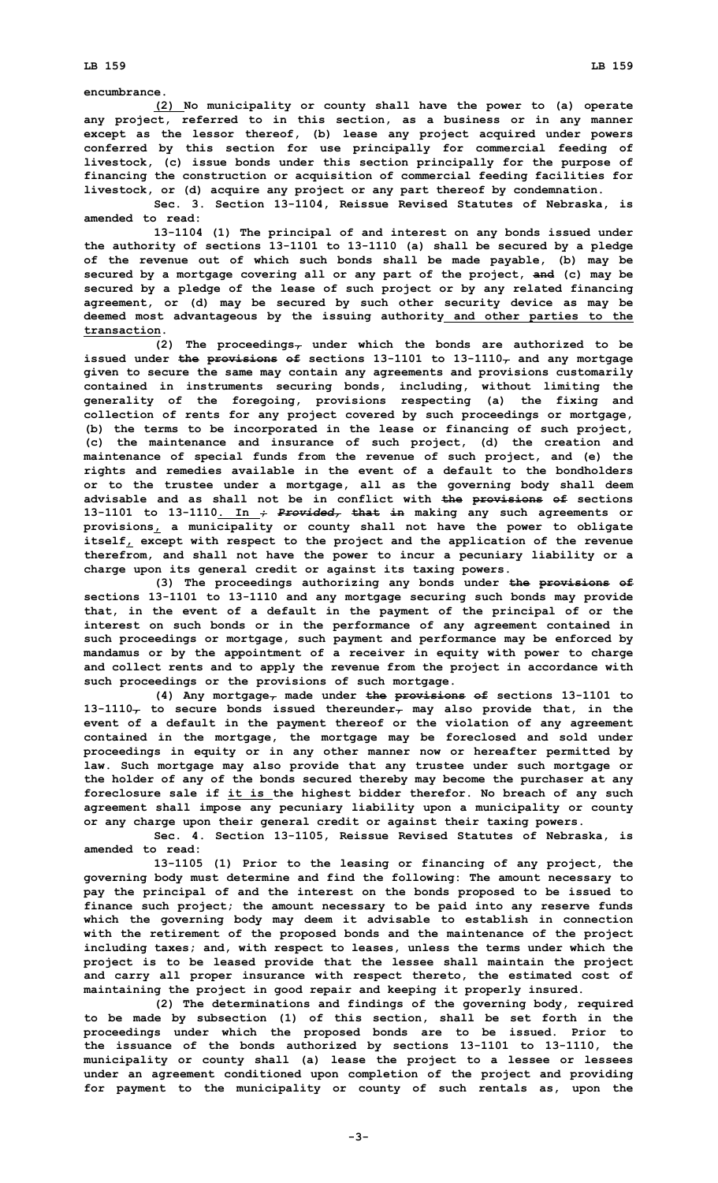**encumbrance.**

**(2) No municipality or county shall have the power to (a) operate any project, referred to in this section, as <sup>a</sup> business or in any manner except as the lessor thereof, (b) lease any project acquired under powers conferred by this section for use principally for commercial feeding of livestock, (c) issue bonds under this section principally for the purpose of financing the construction or acquisition of commercial feeding facilities for livestock, or (d) acquire any project or any part thereof by condemnation.**

**Sec. 3. Section 13-1104, Reissue Revised Statutes of Nebraska, is amended to read:**

**13-1104 (1) The principal of and interest on any bonds issued under the authority of sections 13-1101 to 13-1110 (a) shall be secured by <sup>a</sup> pledge of the revenue out of which such bonds shall be made payable, (b) may be secured by <sup>a</sup> mortgage covering all or any part of the project, and (c) may be secured by <sup>a</sup> pledge of the lease of such project or by any related financing agreement, or (d) may be secured by such other security device as may be deemed most advantageous by the issuing authority and other parties to the transaction.**

**(2) The proceedings, under which the bonds are authorized to be issued under the provisions of sections 13-1101 to 13-1110, and any mortgage given to secure the same may contain any agreements and provisions customarily contained in instruments securing bonds, including, without limiting the generality of the foregoing, provisions respecting (a) the fixing and collection of rents for any project covered by such proceedings or mortgage, (b) the terms to be incorporated in the lease or financing of such project, (c) the maintenance and insurance of such project, (d) the creation and maintenance of special funds from the revenue of such project, and (e) the rights and remedies available in the event of <sup>a</sup> default to the bondholders or to the trustee under <sup>a</sup> mortgage, all as the governing body shall deem advisable and as shall not be in conflict with the provisions of sections 13-1101 to 13-1110. In ;** *Provided,* **that in making any such agreements or provisions, <sup>a</sup> municipality or county shall not have the power to obligate itself, except with respect to the project and the application of the revenue therefrom, and shall not have the power to incur <sup>a</sup> pecuniary liability or <sup>a</sup> charge upon its general credit or against its taxing powers.**

**(3) The proceedings authorizing any bonds under the provisions of sections 13-1101 to 13-1110 and any mortgage securing such bonds may provide that, in the event of <sup>a</sup> default in the payment of the principal of or the interest on such bonds or in the performance of any agreement contained in such proceedings or mortgage, such payment and performance may be enforced by mandamus or by the appointment of <sup>a</sup> receiver in equity with power to charge and collect rents and to apply the revenue from the project in accordance with such proceedings or the provisions of such mortgage.**

**(4) Any mortgage, made under the provisions of sections 13-1101 to 13-1110, to secure bonds issued thereunder, may also provide that, in the event of <sup>a</sup> default in the payment thereof or the violation of any agreement contained in the mortgage, the mortgage may be foreclosed and sold under proceedings in equity or in any other manner now or hereafter permitted by law. Such mortgage may also provide that any trustee under such mortgage or the holder of any of the bonds secured thereby may become the purchaser at any foreclosure sale if it is the highest bidder therefor. No breach of any such agreement shall impose any pecuniary liability upon <sup>a</sup> municipality or county or any charge upon their general credit or against their taxing powers.**

**Sec. 4. Section 13-1105, Reissue Revised Statutes of Nebraska, is amended to read:**

**13-1105 (1) Prior to the leasing or financing of any project, the governing body must determine and find the following: The amount necessary to pay the principal of and the interest on the bonds proposed to be issued to finance such project; the amount necessary to be paid into any reserve funds which the governing body may deem it advisable to establish in connection with the retirement of the proposed bonds and the maintenance of the project including taxes; and, with respect to leases, unless the terms under which the project is to be leased provide that the lessee shall maintain the project and carry all proper insurance with respect thereto, the estimated cost of maintaining the project in good repair and keeping it properly insured.**

**(2) The determinations and findings of the governing body, required to be made by subsection (1) of this section, shall be set forth in the proceedings under which the proposed bonds are to be issued. Prior to the issuance of the bonds authorized by sections 13-1101 to 13-1110, the municipality or county shall (a) lease the project to <sup>a</sup> lessee or lessees under an agreement conditioned upon completion of the project and providing for payment to the municipality or county of such rentals as, upon the**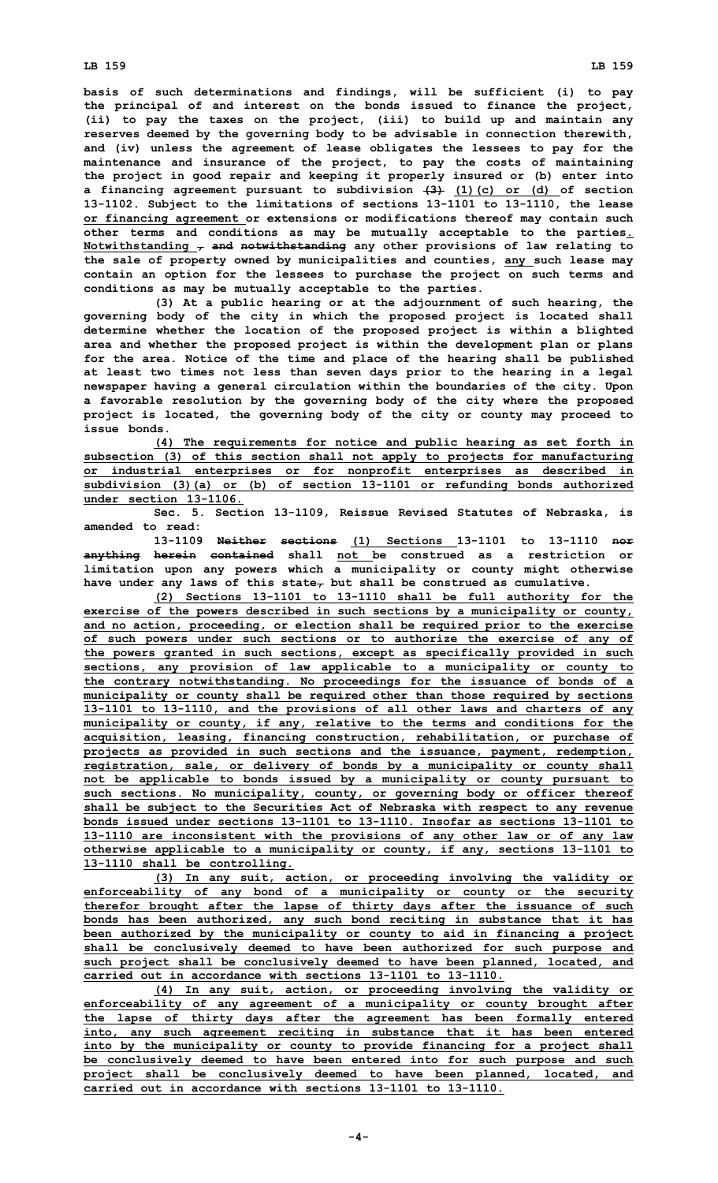## **LB 159 LB 159**

**basis of such determinations and findings, will be sufficient (i) to pay the principal of and interest on the bonds issued to finance the project, (ii) to pay the taxes on the project, (iii) to build up and maintain any reserves deemed by the governing body to be advisable in connection therewith, and (iv) unless the agreement of lease obligates the lessees to pay for the maintenance and insurance of the project, to pay the costs of maintaining the project in good repair and keeping it properly insured or (b) enter into <sup>a</sup> financing agreement pursuant to subdivision (3) (1)(c) or (d) of section 13-1102. Subject to the limitations of sections 13-1101 to 13-1110, the lease or financing agreement or extensions or modifications thereof may contain such other terms and conditions as may be mutually acceptable to the parties. Notwithstanding , and notwithstanding any other provisions of law relating to the sale of property owned by municipalities and counties, any such lease may contain an option for the lessees to purchase the project on such terms and conditions as may be mutually acceptable to the parties.**

**(3) At <sup>a</sup> public hearing or at the adjournment of such hearing, the governing body of the city in which the proposed project is located shall determine whether the location of the proposed project is within <sup>a</sup> blighted area and whether the proposed project is within the development plan or plans for the area. Notice of the time and place of the hearing shall be published at least two times not less than seven days prior to the hearing in <sup>a</sup> legal newspaper having <sup>a</sup> general circulation within the boundaries of the city. Upon <sup>a</sup> favorable resolution by the governing body of the city where the proposed project is located, the governing body of the city or county may proceed to issue bonds.**

**(4) The requirements for notice and public hearing as set forth in subsection (3) of this section shall not apply to projects for manufacturing or industrial enterprises or for nonprofit enterprises as described in subdivision (3)(a) or (b) of section 13-1101 or refunding bonds authorized under section 13-1106.**

**Sec. 5. Section 13-1109, Reissue Revised Statutes of Nebraska, is amended to read:**

**13-1109 Neither sections (1) Sections 13-1101 to 13-1110 nor anything herein contained shall not be construed as <sup>a</sup> restriction or limitation upon any powers which <sup>a</sup> municipality or county might otherwise have under any laws of this state, but shall be construed as cumulative.**

**(2) Sections 13-1101 to 13-1110 shall be full authority for the exercise of the powers described in such sections by <sup>a</sup> municipality or county, and no action, proceeding, or election shall be required prior to the exercise of such powers under such sections or to authorize the exercise of any of the powers granted in such sections, except as specifically provided in such sections, any provision of law applicable to <sup>a</sup> municipality or county to the contrary notwithstanding. No proceedings for the issuance of bonds of <sup>a</sup> municipality or county shall be required other than those required by sections 13-1101 to 13-1110, and the provisions of all other laws and charters of any municipality or county, if any, relative to the terms and conditions for the acquisition, leasing, financing construction, rehabilitation, or purchase of projects as provided in such sections and the issuance, payment, redemption, registration, sale, or delivery of bonds by <sup>a</sup> municipality or county shall not be applicable to bonds issued by <sup>a</sup> municipality or county pursuant to such sections. No municipality, county, or governing body or officer thereof shall be subject to the Securities Act of Nebraska with respect to any revenue bonds issued under sections 13-1101 to 13-1110. Insofar as sections 13-1101 to 13-1110 are inconsistent with the provisions of any other law or of any law otherwise applicable to <sup>a</sup> municipality or county, if any, sections 13-1101 to 13-1110 shall be controlling.**

**(3) In any suit, action, or proceeding involving the validity or enforceability of any bond of <sup>a</sup> municipality or county or the security therefor brought after the lapse of thirty days after the issuance of such bonds has been authorized, any such bond reciting in substance that it has been authorized by the municipality or county to aid in financing <sup>a</sup> project shall be conclusively deemed to have been authorized for such purpose and such project shall be conclusively deemed to have been planned, located, and carried out in accordance with sections 13-1101 to 13-1110.**

**(4) In any suit, action, or proceeding involving the validity or enforceability of any agreement of <sup>a</sup> municipality or county brought after the lapse of thirty days after the agreement has been formally entered into, any such agreement reciting in substance that it has been entered into by the municipality or county to provide financing for <sup>a</sup> project shall be conclusively deemed to have been entered into for such purpose and such project shall be conclusively deemed to have been planned, located, and carried out in accordance with sections 13-1101 to 13-1110.**